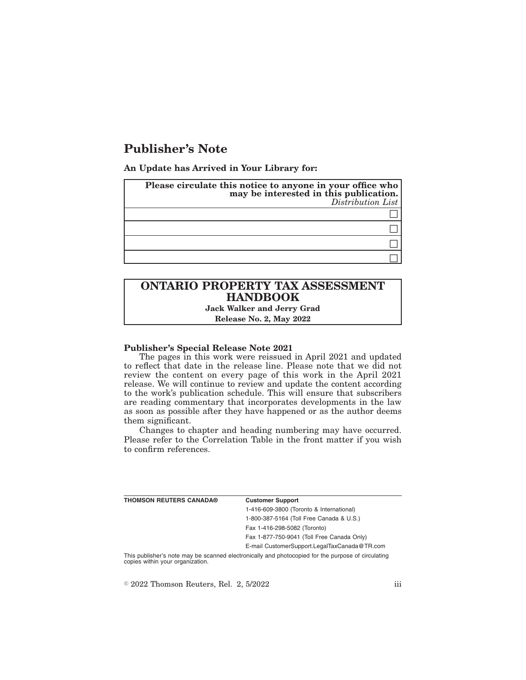## **Publisher's Note**

**An Update has Arrived in Your Library for:**

| Please circulate this notice to anyone in your office who<br>may be interested in this publication.<br>Distribution List |
|--------------------------------------------------------------------------------------------------------------------------|
|                                                                                                                          |
|                                                                                                                          |
|                                                                                                                          |
|                                                                                                                          |

# **ONTARIO PROPERTY TAX ASSESSMENT HANDBOOK**

**Jack Walker and Jerry Grad Release No. 2, May 2022**

#### **Publisher's Special Release Note 2021**

The pages in this work were reissued in April 2021 and updated to reflect that date in the release line. Please note that we did not review the content on every page of this work in the April 2021 release. We will continue to review and update the content according to the work's publication schedule. This will ensure that subscribers are reading commentary that incorporates developments in the law as soon as possible after they have happened or as the author deems them significant.

Changes to chapter and heading numbering may have occurred. Please refer to the Correlation Table in the front matter if you wish to confirm references.

| THOMSON REUTERS CANADA® | <b>Customer Support</b>                      |
|-------------------------|----------------------------------------------|
|                         | 1-416-609-3800 (Toronto & International)     |
|                         | 1-800-387-5164 (Toll Free Canada & U.S.)     |
|                         | Fax 1-416-298-5082 (Toronto)                 |
|                         | Fax 1-877-750-9041 (Toll Free Canada Only)   |
|                         | E-mail CustomerSupport.LegalTaxCanada@TR.com |
|                         |                                              |

This publisher's note may be scanned electronically and photocopied for the purpose of circulating copies within your organization.

 $\textdegree$  2022 Thomson Reuters, Rel. 2, 5/2022 iii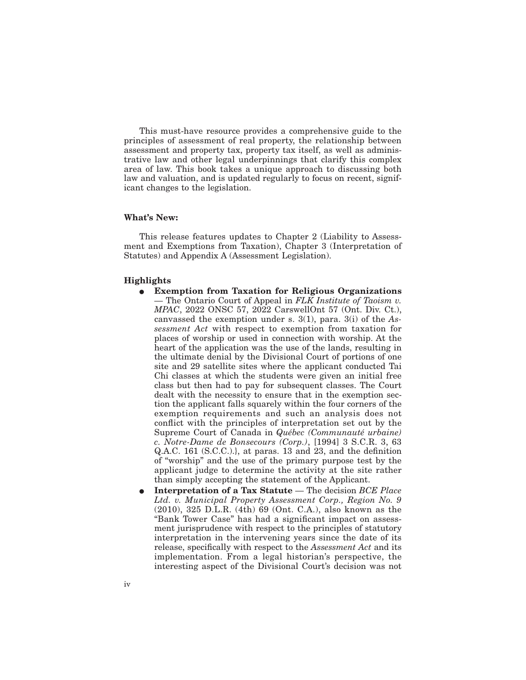This must-have resource provides a comprehensive guide to the principles of assessment of real property, the relationship between assessment and property tax, property tax itself, as well as administrative law and other legal underpinnings that clarify this complex area of law. This book takes a unique approach to discussing both law and valuation, and is updated regularly to focus on recent, significant changes to the legislation.

### **What's New:**

This release features updates to Chapter 2 (Liability to Assessment and Exemptions from Taxation), Chapter 3 (Interpretation of Statutes) and Appendix A (Assessment Legislation).

#### **Highlights**

- E **Exemption from Taxation for Religious Organizations** — The Ontario Court of Appeal in *FLK Institute of Taoism v. MPAC*, 2022 ONSC 57, 2022 CarswellOnt 57 (Ont. Div. Ct.), canvassed the exemption under s. 3(1), para. 3(i) of the *Assessment Act* with respect to exemption from taxation for places of worship or used in connection with worship. At the heart of the application was the use of the lands, resulting in the ultimate denial by the Divisional Court of portions of one site and 29 satellite sites where the applicant conducted Tai Chi classes at which the students were given an initial free class but then had to pay for subsequent classes. The Court dealt with the necessity to ensure that in the exemption section the applicant falls squarely within the four corners of the exemption requirements and such an analysis does not conflict with the principles of interpretation set out by the Supreme Court of Canada in *Québec (Communauté urbaine) c. Notre-Dame de Bonsecours (Corp.)*, [1994] 3 S.C.R. 3, 63 Q.A.C. 161 (S.C.C.).}, at paras. 13 and 23, and the definition of "worship" and the use of the primary purpose test by the applicant judge to determine the activity at the site rather than simply accepting the statement of the Applicant.
- E **Interpretation of a Tax Statute** The decision *BCE Place Ltd. v. Municipal Property Assessment Corp., Region No. 9* (2010), 325 D.L.R. (4th) 69 (Ont. C.A.), also known as the "Bank Tower Case" has had a significant impact on assessment jurisprudence with respect to the principles of statutory interpretation in the intervening years since the date of its release, specifically with respect to the *Assessment Act* and its implementation. From a legal historian's perspective, the interesting aspect of the Divisional Court's decision was not